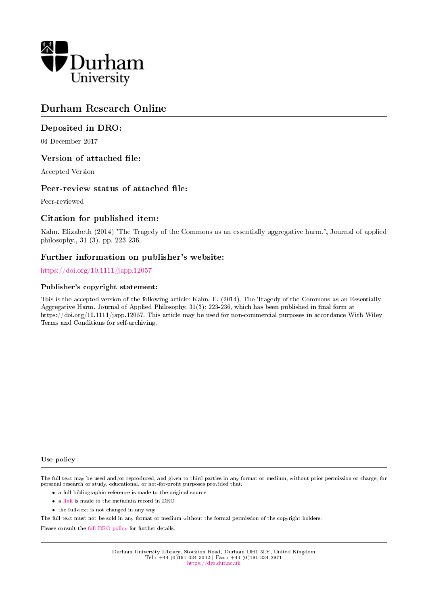

# Durham Research Online

# Deposited in DRO:

04 December 2017

## Version of attached file:

Accepted Version

## Peer-review status of attached file:

Peer-reviewed

## Citation for published item:

Kahn, Elizabeth (2014) 'The Tragedy of the Commons as an essentially aggregative harm.', Journal of applied philosophy., 31 (3). pp. 223-236.

# Further information on publisher's website:

### <https://doi.org/10.1111/japp.12057>

### Publisher's copyright statement:

This is the accepted version of the following article: Kahn, E. (2014), The Tragedy of the Commons as an Essentially Aggregative Harm. Journal of Applied Philosophy, 31(3): 223-236, which has been published in final form at https://doi.org/10.1111/japp.12057. This article may be used for non-commercial purposes in accordance With Wiley Terms and Conditions for self-archiving.

#### Use policy

The full-text may be used and/or reproduced, and given to third parties in any format or medium, without prior permission or charge, for personal research or study, educational, or not-for-profit purposes provided that:

- a full bibliographic reference is made to the original source
- a [link](http://dro.dur.ac.uk/23619/) is made to the metadata record in DRO
- the full-text is not changed in any way

The full-text must not be sold in any format or medium without the formal permission of the copyright holders.

Please consult the [full DRO policy](https://dro.dur.ac.uk/policies/usepolicy.pdf) for further details.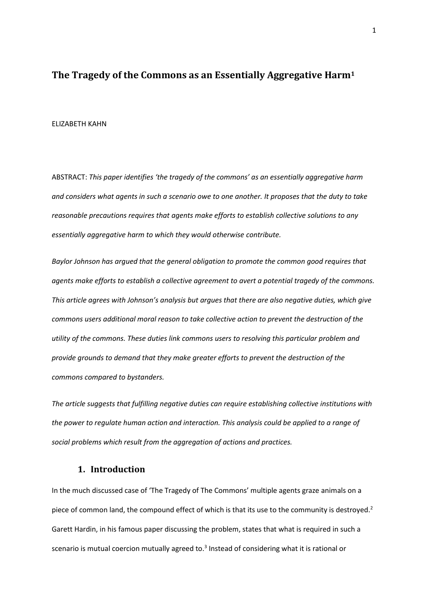# **The Tragedy of the Commons as an Essentially Aggregative Harm<sup>1</sup>**

#### ELIZABETH KAHN

ABSTRACT: *This paper identifies 'the tragedy of the commons' as an essentially aggregative harm and considers what agents in such a scenario owe to one another. It proposes that the duty to take reasonable precautions requires that agents make efforts to establish collective solutions to any essentially aggregative harm to which they would otherwise contribute.*

*Baylor Johnson has argued that the general obligation to promote the common good requires that agents make efforts to establish a collective agreement to avert a potential tragedy of the commons. This article agrees with Johnson's analysis but argues that there are also negative duties, which give commons users additional moral reason to take collective action to prevent the destruction of the utility of the commons. These duties link commons users to resolving this particular problem and provide grounds to demand that they make greater efforts to prevent the destruction of the commons compared to bystanders.* 

*The article suggests that fulfilling negative duties can require establishing collective institutions with the power to regulate human action and interaction. This analysis could be applied to a range of social problems which result from the aggregation of actions and practices.*

# **1. Introduction**

In the much discussed case of 'The Tragedy of The Commons' multiple agents graze animals on a piece of common land, the compound effect of which is that its use to the community is destroyed.<sup>2</sup> Garett Hardin, in his famous paper discussing the problem, states that what is required in such a scenario is mutual coercion mutually agreed to.<sup>3</sup> Instead of considering what it is rational or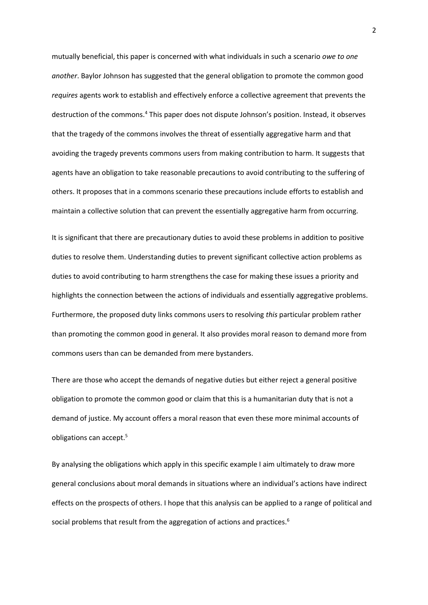mutually beneficial, this paper is concerned with what individuals in such a scenario *owe to one another*. Baylor Johnson has suggested that the general obligation to promote the common good *requires* agents work to establish and effectively enforce a collective agreement that prevents the destruction of the commons.<sup>4</sup> This paper does not dispute Johnson's position. Instead, it observes that the tragedy of the commons involves the threat of essentially aggregative harm and that avoiding the tragedy prevents commons users from making contribution to harm. It suggests that agents have an obligation to take reasonable precautions to avoid contributing to the suffering of others. It proposes that in a commons scenario these precautions include efforts to establish and maintain a collective solution that can prevent the essentially aggregative harm from occurring.

It is significant that there are precautionary duties to avoid these problems in addition to positive duties to resolve them. Understanding duties to prevent significant collective action problems as duties to avoid contributing to harm strengthens the case for making these issues a priority and highlights the connection between the actions of individuals and essentially aggregative problems. Furthermore, the proposed duty links commons users to resolving *this* particular problem rather than promoting the common good in general. It also provides moral reason to demand more from commons users than can be demanded from mere bystanders.

There are those who accept the demands of negative duties but either reject a general positive obligation to promote the common good or claim that this is a humanitarian duty that is not a demand of justice. My account offers a moral reason that even these more minimal accounts of obligations can accept.<sup>5</sup>

By analysing the obligations which apply in this specific example I aim ultimately to draw more general conclusions about moral demands in situations where an individual's actions have indirect effects on the prospects of others. I hope that this analysis can be applied to a range of political and social problems that result from the aggregation of actions and practices.<sup>6</sup>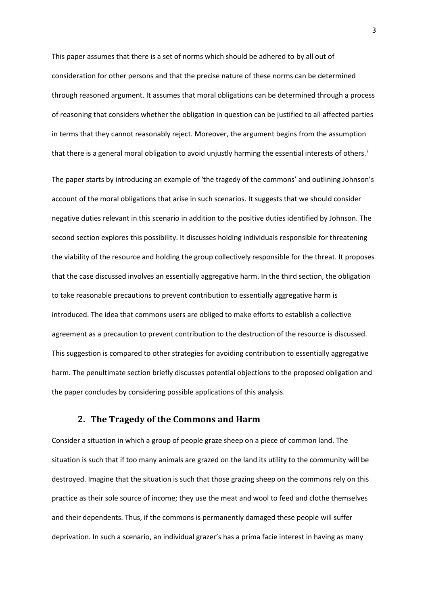This paper assumes that there is a set of norms which should be adhered to by all out of consideration for other persons and that the precise nature of these norms can be determined through reasoned argument. It assumes that moral obligations can be determined through a process of reasoning that considers whether the obligation in question can be justified to all affected parties in terms that they cannot reasonably reject. Moreover, the argument begins from the assumption that there is a general moral obligation to avoid unjustly harming the essential interests of others.<sup>7</sup>

The paper starts by introducing an example of 'the tragedy of the commons' and outlining Johnson's account of the moral obligations that arise in such scenarios. It suggests that we should consider negative duties relevant in this scenario in addition to the positive duties identified by Johnson. The second section explores this possibility. It discusses holding individuals responsible for threatening the viability of the resource and holding the group collectively responsible for the threat. It proposes that the case discussed involves an essentially aggregative harm. In the third section, the obligation to take reasonable precautions to prevent contribution to essentially aggregative harm is introduced. The idea that commons users are obliged to make efforts to establish a collective agreement as a precaution to prevent contribution to the destruction of the resource is discussed. This suggestion is compared to other strategies for avoiding contribution to essentially aggregative harm. The penultimate section briefly discusses potential objections to the proposed obligation and the paper concludes by considering possible applications of this analysis.

### **2. The Tragedy of the Commons and Harm**

Consider a situation in which a group of people graze sheep on a piece of common land. The situation is such that if too many animals are grazed on the land its utility to the community will be destroyed. Imagine that the situation is such that those grazing sheep on the commons rely on this practice as their sole source of income; they use the meat and wool to feed and clothe themselves and their dependents. Thus, if the commons is permanently damaged these people will suffer deprivation. In such a scenario, an individual grazer's has a prima facie interest in having as many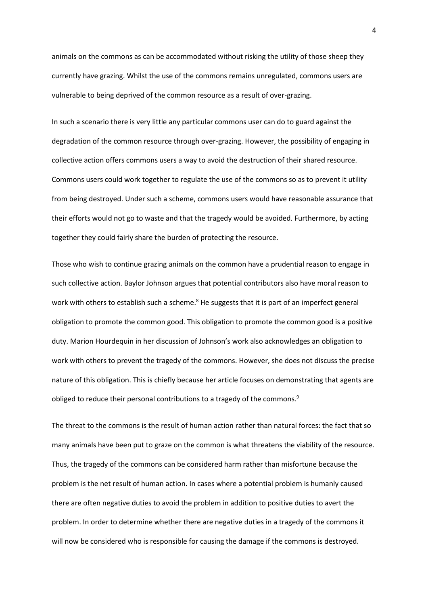animals on the commons as can be accommodated without risking the utility of those sheep they currently have grazing. Whilst the use of the commons remains unregulated, commons users are vulnerable to being deprived of the common resource as a result of over-grazing.

In such a scenario there is very little any particular commons user can do to guard against the degradation of the common resource through over-grazing. However, the possibility of engaging in collective action offers commons users a way to avoid the destruction of their shared resource. Commons users could work together to regulate the use of the commons so as to prevent it utility from being destroyed. Under such a scheme, commons users would have reasonable assurance that their efforts would not go to waste and that the tragedy would be avoided. Furthermore, by acting together they could fairly share the burden of protecting the resource.

Those who wish to continue grazing animals on the common have a prudential reason to engage in such collective action. Baylor Johnson argues that potential contributors also have moral reason to work with others to establish such a scheme.<sup>8</sup> He suggests that it is part of an imperfect general obligation to promote the common good. This obligation to promote the common good is a positive duty. Marion Hourdequin in her discussion of Johnson's work also acknowledges an obligation to work with others to prevent the tragedy of the commons. However, she does not discuss the precise nature of this obligation. This is chiefly because her article focuses on demonstrating that agents are obliged to reduce their personal contributions to a tragedy of the commons.<sup>9</sup>

The threat to the commons is the result of human action rather than natural forces: the fact that so many animals have been put to graze on the common is what threatens the viability of the resource. Thus, the tragedy of the commons can be considered harm rather than misfortune because the problem is the net result of human action. In cases where a potential problem is humanly caused there are often negative duties to avoid the problem in addition to positive duties to avert the problem. In order to determine whether there are negative duties in a tragedy of the commons it will now be considered who is responsible for causing the damage if the commons is destroyed.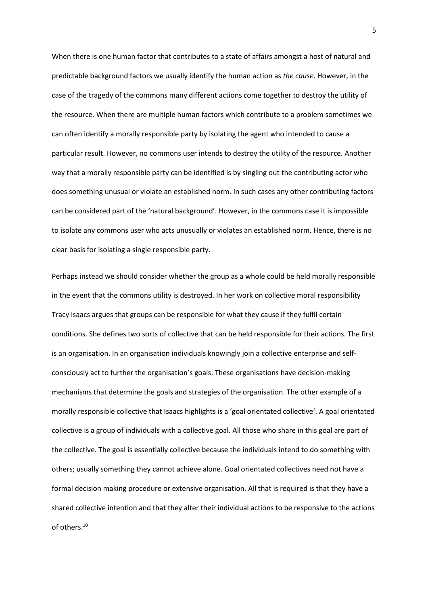When there is one human factor that contributes to a state of affairs amongst a host of natural and predictable background factors we usually identify the human action as *the cause*. However, in the case of the tragedy of the commons many different actions come together to destroy the utility of the resource. When there are multiple human factors which contribute to a problem sometimes we can often identify a morally responsible party by isolating the agent who intended to cause a particular result. However, no commons user intends to destroy the utility of the resource. Another way that a morally responsible party can be identified is by singling out the contributing actor who does something unusual or violate an established norm. In such cases any other contributing factors can be considered part of the 'natural background'. However, in the commons case it is impossible to isolate any commons user who acts unusually or violates an established norm. Hence, there is no clear basis for isolating a single responsible party.

Perhaps instead we should consider whether the group as a whole could be held morally responsible in the event that the commons utility is destroyed. In her work on collective moral responsibility Tracy Isaacs argues that groups can be responsible for what they cause if they fulfil certain conditions. She defines two sorts of collective that can be held responsible for their actions. The first is an organisation. In an organisation individuals knowingly join a collective enterprise and selfconsciously act to further the organisation's goals. These organisations have decision-making mechanisms that determine the goals and strategies of the organisation. The other example of a morally responsible collective that Isaacs highlights is a 'goal orientated collective'. A goal orientated collective is a group of individuals with a collective goal. All those who share in this goal are part of the collective. The goal is essentially collective because the individuals intend to do something with others; usually something they cannot achieve alone. Goal orientated collectives need not have a formal decision making procedure or extensive organisation. All that is required is that they have a shared collective intention and that they alter their individual actions to be responsive to the actions of others. 10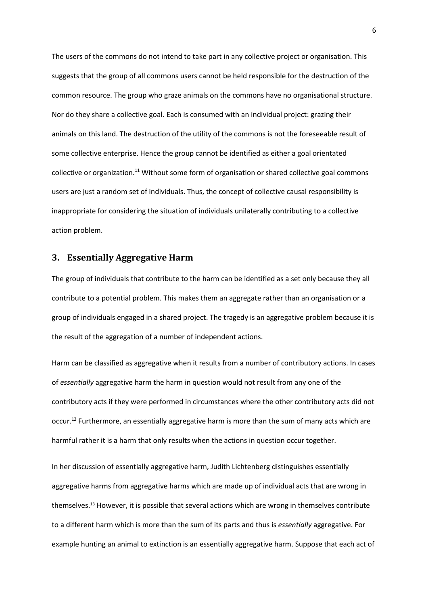The users of the commons do not intend to take part in any collective project or organisation. This suggests that the group of all commons users cannot be held responsible for the destruction of the common resource. The group who graze animals on the commons have no organisational structure. Nor do they share a collective goal. Each is consumed with an individual project: grazing their animals on this land. The destruction of the utility of the commons is not the foreseeable result of some collective enterprise. Hence the group cannot be identified as either a goal orientated collective or organization.<sup>11</sup> Without some form of organisation or shared collective goal commons users are just a random set of individuals. Thus, the concept of collective causal responsibility is inappropriate for considering the situation of individuals unilaterally contributing to a collective action problem.

### **3. Essentially Aggregative Harm**

The group of individuals that contribute to the harm can be identified as a set only because they all contribute to a potential problem. This makes them an aggregate rather than an organisation or a group of individuals engaged in a shared project. The tragedy is an aggregative problem because it is the result of the aggregation of a number of independent actions.

Harm can be classified as aggregative when it results from a number of contributory actions. In cases of *essentially* aggregative harm the harm in question would not result from any one of the contributory acts if they were performed in circumstances where the other contributory acts did not occur.<sup>12</sup> Furthermore, an essentially aggregative harm is more than the sum of many acts which are harmful rather it is a harm that only results when the actions in question occur together.

In her discussion of essentially aggregative harm, Judith Lichtenberg distinguishes essentially aggregative harms from aggregative harms which are made up of individual acts that are wrong in themselves.<sup>13</sup> However, it is possible that several actions which are wrong in themselves contribute to a different harm which is more than the sum of its parts and thus is *essentially* aggregative. For example hunting an animal to extinction is an essentially aggregative harm. Suppose that each act of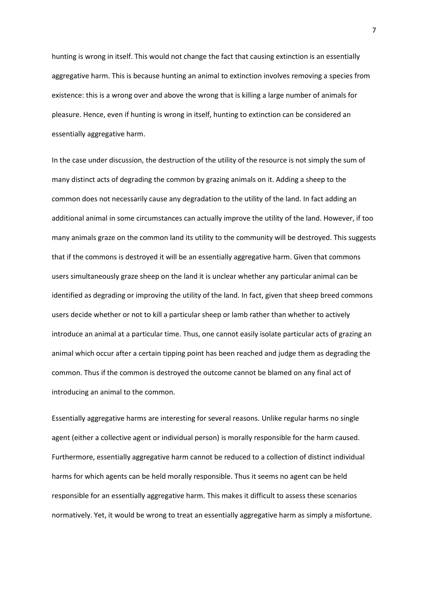hunting is wrong in itself. This would not change the fact that causing extinction is an essentially aggregative harm. This is because hunting an animal to extinction involves removing a species from existence: this is a wrong over and above the wrong that is killing a large number of animals for pleasure. Hence, even if hunting is wrong in itself, hunting to extinction can be considered an essentially aggregative harm.

In the case under discussion, the destruction of the utility of the resource is not simply the sum of many distinct acts of degrading the common by grazing animals on it. Adding a sheep to the common does not necessarily cause any degradation to the utility of the land. In fact adding an additional animal in some circumstances can actually improve the utility of the land. However, if too many animals graze on the common land its utility to the community will be destroyed. This suggests that if the commons is destroyed it will be an essentially aggregative harm. Given that commons users simultaneously graze sheep on the land it is unclear whether any particular animal can be identified as degrading or improving the utility of the land. In fact, given that sheep breed commons users decide whether or not to kill a particular sheep or lamb rather than whether to actively introduce an animal at a particular time. Thus, one cannot easily isolate particular acts of grazing an animal which occur after a certain tipping point has been reached and judge them as degrading the common. Thus if the common is destroyed the outcome cannot be blamed on any final act of introducing an animal to the common.

Essentially aggregative harms are interesting for several reasons. Unlike regular harms no single agent (either a collective agent or individual person) is morally responsible for the harm caused. Furthermore, essentially aggregative harm cannot be reduced to a collection of distinct individual harms for which agents can be held morally responsible. Thus it seems no agent can be held responsible for an essentially aggregative harm. This makes it difficult to assess these scenarios normatively. Yet, it would be wrong to treat an essentially aggregative harm as simply a misfortune.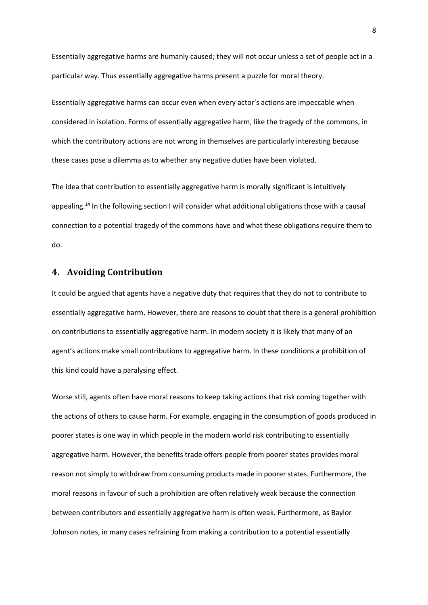Essentially aggregative harms are humanly caused; they will not occur unless a set of people act in a particular way. Thus essentially aggregative harms present a puzzle for moral theory.

Essentially aggregative harms can occur even when every actor's actions are impeccable when considered in isolation. Forms of essentially aggregative harm, like the tragedy of the commons, in which the contributory actions are not wrong in themselves are particularly interesting because these cases pose a dilemma as to whether any negative duties have been violated.

The idea that contribution to essentially aggregative harm is morally significant is intuitively appealing.<sup>14</sup> In the following section I will consider what additional obligations those with a causal connection to a potential tragedy of the commons have and what these obligations require them to do.

## **4. Avoiding Contribution**

It could be argued that agents have a negative duty that requires that they do not to contribute to essentially aggregative harm. However, there are reasons to doubt that there is a general prohibition on contributions to essentially aggregative harm. In modern society it is likely that many of an agent's actions make small contributions to aggregative harm. In these conditions a prohibition of this kind could have a paralysing effect.

Worse still, agents often have moral reasons to keep taking actions that risk coming together with the actions of others to cause harm. For example, engaging in the consumption of goods produced in poorer states is one way in which people in the modern world risk contributing to essentially aggregative harm. However, the benefits trade offers people from poorer states provides moral reason not simply to withdraw from consuming products made in poorer states. Furthermore, the moral reasons in favour of such a prohibition are often relatively weak because the connection between contributors and essentially aggregative harm is often weak. Furthermore, as Baylor Johnson notes, in many cases refraining from making a contribution to a potential essentially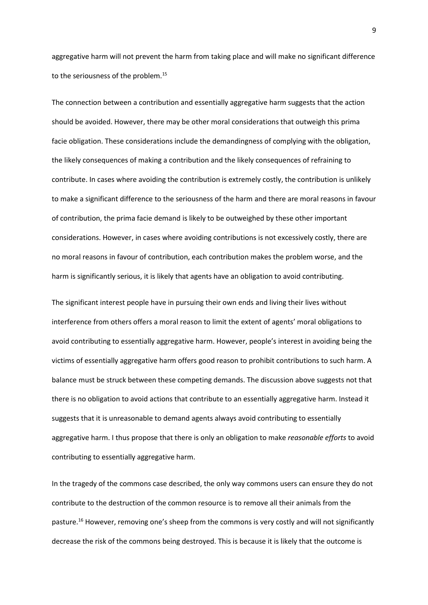aggregative harm will not prevent the harm from taking place and will make no significant difference to the seriousness of the problem.<sup>15</sup>

The connection between a contribution and essentially aggregative harm suggests that the action should be avoided. However, there may be other moral considerations that outweigh this prima facie obligation. These considerations include the demandingness of complying with the obligation, the likely consequences of making a contribution and the likely consequences of refraining to contribute. In cases where avoiding the contribution is extremely costly, the contribution is unlikely to make a significant difference to the seriousness of the harm and there are moral reasons in favour of contribution, the prima facie demand is likely to be outweighed by these other important considerations. However, in cases where avoiding contributions is not excessively costly, there are no moral reasons in favour of contribution, each contribution makes the problem worse, and the harm is significantly serious, it is likely that agents have an obligation to avoid contributing.

The significant interest people have in pursuing their own ends and living their lives without interference from others offers a moral reason to limit the extent of agents' moral obligations to avoid contributing to essentially aggregative harm. However, people's interest in avoiding being the victims of essentially aggregative harm offers good reason to prohibit contributions to such harm. A balance must be struck between these competing demands. The discussion above suggests not that there is no obligation to avoid actions that contribute to an essentially aggregative harm. Instead it suggests that it is unreasonable to demand agents always avoid contributing to essentially aggregative harm. I thus propose that there is only an obligation to make *reasonable efforts* to avoid contributing to essentially aggregative harm.

In the tragedy of the commons case described, the only way commons users can ensure they do not contribute to the destruction of the common resource is to remove all their animals from the pasture.<sup>16</sup> However, removing one's sheep from the commons is very costly and will not significantly decrease the risk of the commons being destroyed. This is because it is likely that the outcome is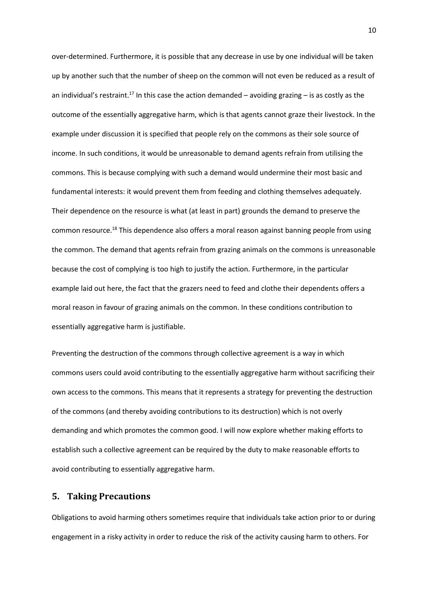over-determined. Furthermore, it is possible that any decrease in use by one individual will be taken up by another such that the number of sheep on the common will not even be reduced as a result of an individual's restraint.<sup>17</sup> In this case the action demanded – avoiding grazing – is as costly as the outcome of the essentially aggregative harm, which is that agents cannot graze their livestock. In the example under discussion it is specified that people rely on the commons as their sole source of income. In such conditions, it would be unreasonable to demand agents refrain from utilising the commons. This is because complying with such a demand would undermine their most basic and fundamental interests: it would prevent them from feeding and clothing themselves adequately. Their dependence on the resource is what (at least in part) grounds the demand to preserve the common resource.<sup>18</sup> This dependence also offers a moral reason against banning people from using the common. The demand that agents refrain from grazing animals on the commons is unreasonable because the cost of complying is too high to justify the action. Furthermore, in the particular example laid out here, the fact that the grazers need to feed and clothe their dependents offers a moral reason in favour of grazing animals on the common. In these conditions contribution to essentially aggregative harm is justifiable.

Preventing the destruction of the commons through collective agreement is a way in which commons users could avoid contributing to the essentially aggregative harm without sacrificing their own access to the commons. This means that it represents a strategy for preventing the destruction of the commons (and thereby avoiding contributions to its destruction) which is not overly demanding and which promotes the common good. I will now explore whether making efforts to establish such a collective agreement can be required by the duty to make reasonable efforts to avoid contributing to essentially aggregative harm.

### **5. Taking Precautions**

Obligations to avoid harming others sometimes require that individuals take action prior to or during engagement in a risky activity in order to reduce the risk of the activity causing harm to others. For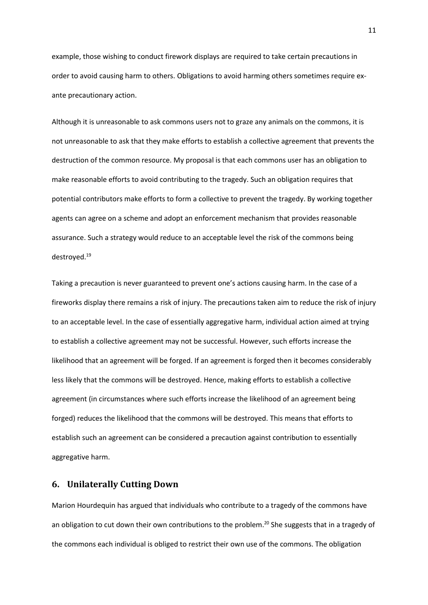example, those wishing to conduct firework displays are required to take certain precautions in order to avoid causing harm to others. Obligations to avoid harming others sometimes require exante precautionary action.

Although it is unreasonable to ask commons users not to graze any animals on the commons, it is not unreasonable to ask that they make efforts to establish a collective agreement that prevents the destruction of the common resource. My proposal is that each commons user has an obligation to make reasonable efforts to avoid contributing to the tragedy. Such an obligation requires that potential contributors make efforts to form a collective to prevent the tragedy. By working together agents can agree on a scheme and adopt an enforcement mechanism that provides reasonable assurance. Such a strategy would reduce to an acceptable level the risk of the commons being destroyed.<sup>19</sup>

Taking a precaution is never guaranteed to prevent one's actions causing harm. In the case of a fireworks display there remains a risk of injury. The precautions taken aim to reduce the risk of injury to an acceptable level. In the case of essentially aggregative harm, individual action aimed at trying to establish a collective agreement may not be successful. However, such efforts increase the likelihood that an agreement will be forged. If an agreement is forged then it becomes considerably less likely that the commons will be destroyed. Hence, making efforts to establish a collective agreement (in circumstances where such efforts increase the likelihood of an agreement being forged) reduces the likelihood that the commons will be destroyed. This means that efforts to establish such an agreement can be considered a precaution against contribution to essentially aggregative harm.

## **6. Unilaterally Cutting Down**

Marion Hourdequin has argued that individuals who contribute to a tragedy of the commons have an obligation to cut down their own contributions to the problem.<sup>20</sup> She suggests that in a tragedy of the commons each individual is obliged to restrict their own use of the commons. The obligation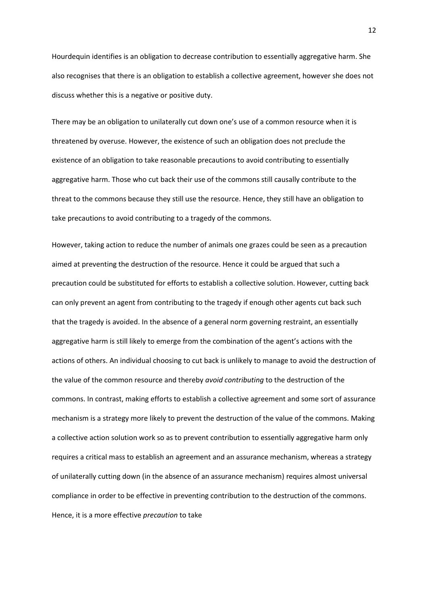Hourdequin identifies is an obligation to decrease contribution to essentially aggregative harm. She also recognises that there is an obligation to establish a collective agreement, however she does not discuss whether this is a negative or positive duty.

There may be an obligation to unilaterally cut down one's use of a common resource when it is threatened by overuse. However, the existence of such an obligation does not preclude the existence of an obligation to take reasonable precautions to avoid contributing to essentially aggregative harm. Those who cut back their use of the commons still causally contribute to the threat to the commons because they still use the resource. Hence, they still have an obligation to take precautions to avoid contributing to a tragedy of the commons.

However, taking action to reduce the number of animals one grazes could be seen as a precaution aimed at preventing the destruction of the resource. Hence it could be argued that such a precaution could be substituted for efforts to establish a collective solution. However, cutting back can only prevent an agent from contributing to the tragedy if enough other agents cut back such that the tragedy is avoided. In the absence of a general norm governing restraint, an essentially aggregative harm is still likely to emerge from the combination of the agent's actions with the actions of others. An individual choosing to cut back is unlikely to manage to avoid the destruction of the value of the common resource and thereby *avoid contributing* to the destruction of the commons. In contrast, making efforts to establish a collective agreement and some sort of assurance mechanism is a strategy more likely to prevent the destruction of the value of the commons. Making a collective action solution work so as to prevent contribution to essentially aggregative harm only requires a critical mass to establish an agreement and an assurance mechanism, whereas a strategy of unilaterally cutting down (in the absence of an assurance mechanism) requires almost universal compliance in order to be effective in preventing contribution to the destruction of the commons. Hence, it is a more effective *precaution* to take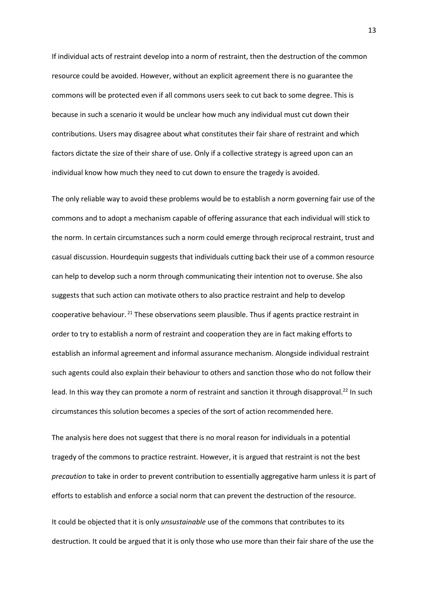If individual acts of restraint develop into a norm of restraint, then the destruction of the common resource could be avoided. However, without an explicit agreement there is no guarantee the commons will be protected even if all commons users seek to cut back to some degree. This is because in such a scenario it would be unclear how much any individual must cut down their contributions. Users may disagree about what constitutes their fair share of restraint and which factors dictate the size of their share of use. Only if a collective strategy is agreed upon can an individual know how much they need to cut down to ensure the tragedy is avoided.

The only reliable way to avoid these problems would be to establish a norm governing fair use of the commons and to adopt a mechanism capable of offering assurance that each individual will stick to the norm. In certain circumstances such a norm could emerge through reciprocal restraint, trust and casual discussion. Hourdequin suggests that individuals cutting back their use of a common resource can help to develop such a norm through communicating their intention not to overuse. She also suggests that such action can motivate others to also practice restraint and help to develop cooperative behaviour. <sup>21</sup> These observations seem plausible. Thus if agents practice restraint in order to try to establish a norm of restraint and cooperation they are in fact making efforts to establish an informal agreement and informal assurance mechanism. Alongside individual restraint such agents could also explain their behaviour to others and sanction those who do not follow their lead. In this way they can promote a norm of restraint and sanction it through disapproval.<sup>22</sup> In such circumstances this solution becomes a species of the sort of action recommended here.

The analysis here does not suggest that there is no moral reason for individuals in a potential tragedy of the commons to practice restraint. However, it is argued that restraint is not the best *precaution* to take in order to prevent contribution to essentially aggregative harm unless it is part of efforts to establish and enforce a social norm that can prevent the destruction of the resource.

It could be objected that it is only *unsustainable* use of the commons that contributes to its destruction. It could be argued that it is only those who use more than their fair share of the use the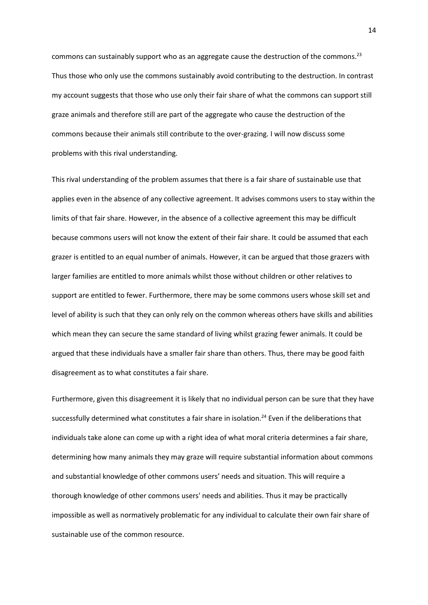commons can sustainably support who as an aggregate cause the destruction of the commons.<sup>23</sup> Thus those who only use the commons sustainably avoid contributing to the destruction. In contrast my account suggests that those who use only their fair share of what the commons can support still graze animals and therefore still are part of the aggregate who cause the destruction of the commons because their animals still contribute to the over-grazing. I will now discuss some problems with this rival understanding.

This rival understanding of the problem assumes that there is a fair share of sustainable use that applies even in the absence of any collective agreement. It advises commons users to stay within the limits of that fair share. However, in the absence of a collective agreement this may be difficult because commons users will not know the extent of their fair share. It could be assumed that each grazer is entitled to an equal number of animals. However, it can be argued that those grazers with larger families are entitled to more animals whilst those without children or other relatives to support are entitled to fewer. Furthermore, there may be some commons users whose skill set and level of ability is such that they can only rely on the common whereas others have skills and abilities which mean they can secure the same standard of living whilst grazing fewer animals. It could be argued that these individuals have a smaller fair share than others. Thus, there may be good faith disagreement as to what constitutes a fair share.

Furthermore, given this disagreement it is likely that no individual person can be sure that they have successfully determined what constitutes a fair share in isolation.<sup>24</sup> Even if the deliberations that individuals take alone can come up with a right idea of what moral criteria determines a fair share, determining how many animals they may graze will require substantial information about commons and substantial knowledge of other commons users' needs and situation. This will require a thorough knowledge of other commons users' needs and abilities. Thus it may be practically impossible as well as normatively problematic for any individual to calculate their own fair share of sustainable use of the common resource.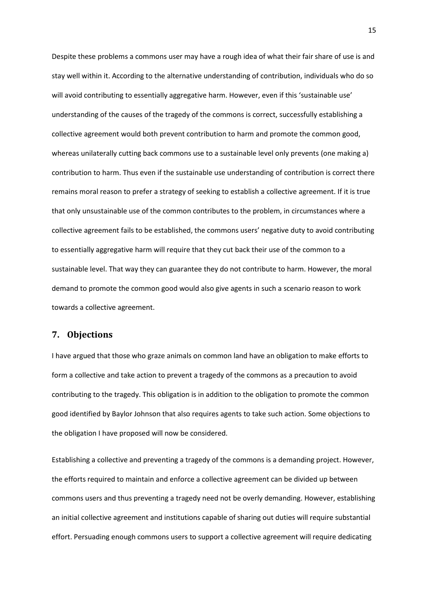Despite these problems a commons user may have a rough idea of what their fair share of use is and stay well within it. According to the alternative understanding of contribution, individuals who do so will avoid contributing to essentially aggregative harm. However, even if this 'sustainable use' understanding of the causes of the tragedy of the commons is correct, successfully establishing a collective agreement would both prevent contribution to harm and promote the common good, whereas unilaterally cutting back commons use to a sustainable level only prevents (one making a) contribution to harm. Thus even if the sustainable use understanding of contribution is correct there remains moral reason to prefer a strategy of seeking to establish a collective agreement. If it is true that only unsustainable use of the common contributes to the problem, in circumstances where a collective agreement fails to be established, the commons users' negative duty to avoid contributing to essentially aggregative harm will require that they cut back their use of the common to a sustainable level. That way they can guarantee they do not contribute to harm. However, the moral demand to promote the common good would also give agents in such a scenario reason to work towards a collective agreement.

## **7. Objections**

I have argued that those who graze animals on common land have an obligation to make efforts to form a collective and take action to prevent a tragedy of the commons as a precaution to avoid contributing to the tragedy. This obligation is in addition to the obligation to promote the common good identified by Baylor Johnson that also requires agents to take such action. Some objections to the obligation I have proposed will now be considered.

Establishing a collective and preventing a tragedy of the commons is a demanding project. However, the efforts required to maintain and enforce a collective agreement can be divided up between commons users and thus preventing a tragedy need not be overly demanding. However, establishing an initial collective agreement and institutions capable of sharing out duties will require substantial effort. Persuading enough commons users to support a collective agreement will require dedicating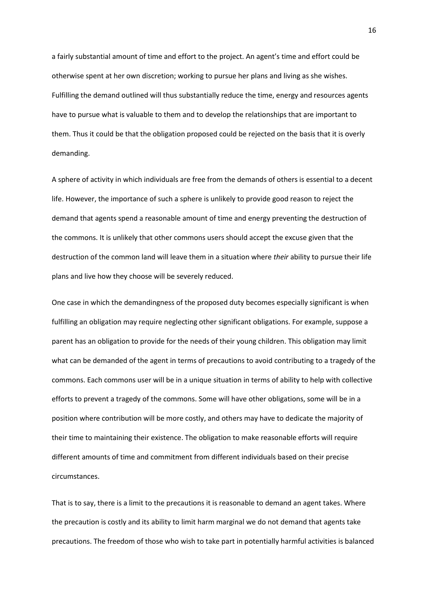a fairly substantial amount of time and effort to the project. An agent's time and effort could be otherwise spent at her own discretion; working to pursue her plans and living as she wishes. Fulfilling the demand outlined will thus substantially reduce the time, energy and resources agents have to pursue what is valuable to them and to develop the relationships that are important to them. Thus it could be that the obligation proposed could be rejected on the basis that it is overly demanding.

A sphere of activity in which individuals are free from the demands of others is essential to a decent life. However, the importance of such a sphere is unlikely to provide good reason to reject the demand that agents spend a reasonable amount of time and energy preventing the destruction of the commons. It is unlikely that other commons users should accept the excuse given that the destruction of the common land will leave them in a situation where *their* ability to pursue their life plans and live how they choose will be severely reduced.

One case in which the demandingness of the proposed duty becomes especially significant is when fulfilling an obligation may require neglecting other significant obligations. For example, suppose a parent has an obligation to provide for the needs of their young children. This obligation may limit what can be demanded of the agent in terms of precautions to avoid contributing to a tragedy of the commons. Each commons user will be in a unique situation in terms of ability to help with collective efforts to prevent a tragedy of the commons. Some will have other obligations, some will be in a position where contribution will be more costly, and others may have to dedicate the majority of their time to maintaining their existence. The obligation to make reasonable efforts will require different amounts of time and commitment from different individuals based on their precise circumstances.

That is to say, there is a limit to the precautions it is reasonable to demand an agent takes. Where the precaution is costly and its ability to limit harm marginal we do not demand that agents take precautions. The freedom of those who wish to take part in potentially harmful activities is balanced

16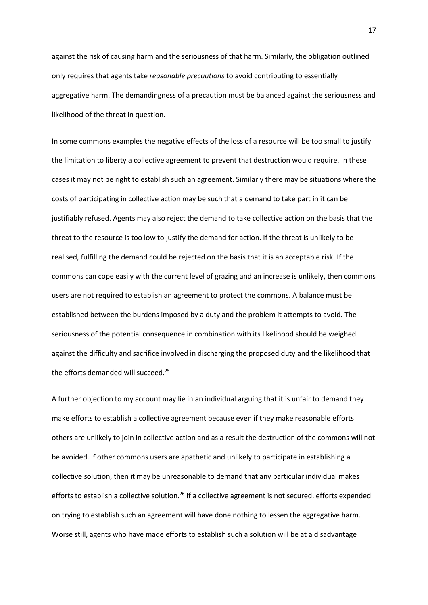against the risk of causing harm and the seriousness of that harm. Similarly, the obligation outlined only requires that agents take *reasonable precautions* to avoid contributing to essentially aggregative harm. The demandingness of a precaution must be balanced against the seriousness and likelihood of the threat in question.

In some commons examples the negative effects of the loss of a resource will be too small to justify the limitation to liberty a collective agreement to prevent that destruction would require. In these cases it may not be right to establish such an agreement. Similarly there may be situations where the costs of participating in collective action may be such that a demand to take part in it can be justifiably refused. Agents may also reject the demand to take collective action on the basis that the threat to the resource is too low to justify the demand for action. If the threat is unlikely to be realised, fulfilling the demand could be rejected on the basis that it is an acceptable risk. If the commons can cope easily with the current level of grazing and an increase is unlikely, then commons users are not required to establish an agreement to protect the commons. A balance must be established between the burdens imposed by a duty and the problem it attempts to avoid. The seriousness of the potential consequence in combination with its likelihood should be weighed against the difficulty and sacrifice involved in discharging the proposed duty and the likelihood that the efforts demanded will succeed.<sup>25</sup>

A further objection to my account may lie in an individual arguing that it is unfair to demand they make efforts to establish a collective agreement because even if they make reasonable efforts others are unlikely to join in collective action and as a result the destruction of the commons will not be avoided. If other commons users are apathetic and unlikely to participate in establishing a collective solution, then it may be unreasonable to demand that any particular individual makes efforts to establish a collective solution.<sup>26</sup> If a collective agreement is not secured, efforts expended on trying to establish such an agreement will have done nothing to lessen the aggregative harm. Worse still, agents who have made efforts to establish such a solution will be at a disadvantage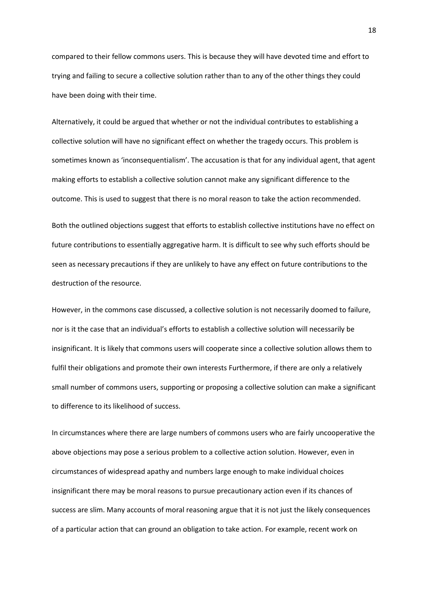compared to their fellow commons users. This is because they will have devoted time and effort to trying and failing to secure a collective solution rather than to any of the other things they could have been doing with their time.

Alternatively, it could be argued that whether or not the individual contributes to establishing a collective solution will have no significant effect on whether the tragedy occurs. This problem is sometimes known as 'inconsequentialism'. The accusation is that for any individual agent, that agent making efforts to establish a collective solution cannot make any significant difference to the outcome. This is used to suggest that there is no moral reason to take the action recommended.

Both the outlined objections suggest that efforts to establish collective institutions have no effect on future contributions to essentially aggregative harm. It is difficult to see why such efforts should be seen as necessary precautions if they are unlikely to have any effect on future contributions to the destruction of the resource.

However, in the commons case discussed, a collective solution is not necessarily doomed to failure, nor is it the case that an individual's efforts to establish a collective solution will necessarily be insignificant. It is likely that commons users will cooperate since a collective solution allows them to fulfil their obligations and promote their own interests Furthermore, if there are only a relatively small number of commons users, supporting or proposing a collective solution can make a significant to difference to its likelihood of success.

In circumstances where there are large numbers of commons users who are fairly uncooperative the above objections may pose a serious problem to a collective action solution. However, even in circumstances of widespread apathy and numbers large enough to make individual choices insignificant there may be moral reasons to pursue precautionary action even if its chances of success are slim. Many accounts of moral reasoning argue that it is not just the likely consequences of a particular action that can ground an obligation to take action. For example, recent work on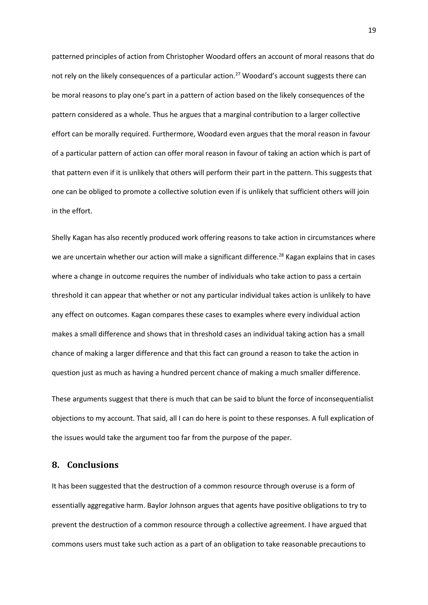patterned principles of action from Christopher Woodard offers an account of moral reasons that do not rely on the likely consequences of a particular action.<sup>27</sup> Woodard's account suggests there can be moral reasons to play one's part in a pattern of action based on the likely consequences of the pattern considered as a whole. Thus he argues that a marginal contribution to a larger collective effort can be morally required. Furthermore, Woodard even argues that the moral reason in favour of a particular pattern of action can offer moral reason in favour of taking an action which is part of that pattern even if it is unlikely that others will perform their part in the pattern. This suggests that one can be obliged to promote a collective solution even if is unlikely that sufficient others will join in the effort.

Shelly Kagan has also recently produced work offering reasons to take action in circumstances where we are uncertain whether our action will make a significant difference.<sup>28</sup> Kagan explains that in cases where a change in outcome requires the number of individuals who take action to pass a certain threshold it can appear that whether or not any particular individual takes action is unlikely to have any effect on outcomes. Kagan compares these cases to examples where every individual action makes a small difference and shows that in threshold cases an individual taking action has a small chance of making a larger difference and that this fact can ground a reason to take the action in question just as much as having a hundred percent chance of making a much smaller difference.

These arguments suggest that there is much that can be said to blunt the force of inconsequentialist objections to my account. That said, all I can do here is point to these responses. A full explication of the issues would take the argument too far from the purpose of the paper.

## **8. Conclusions**

It has been suggested that the destruction of a common resource through overuse is a form of essentially aggregative harm. Baylor Johnson argues that agents have positive obligations to try to prevent the destruction of a common resource through a collective agreement. I have argued that commons users must take such action as a part of an obligation to take reasonable precautions to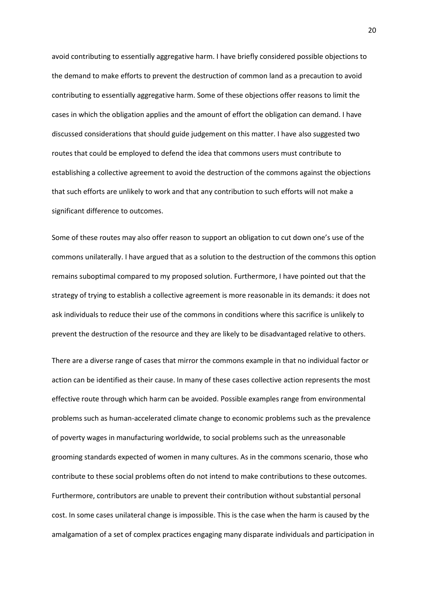avoid contributing to essentially aggregative harm. I have briefly considered possible objections to the demand to make efforts to prevent the destruction of common land as a precaution to avoid contributing to essentially aggregative harm. Some of these objections offer reasons to limit the cases in which the obligation applies and the amount of effort the obligation can demand. I have discussed considerations that should guide judgement on this matter. I have also suggested two routes that could be employed to defend the idea that commons users must contribute to establishing a collective agreement to avoid the destruction of the commons against the objections that such efforts are unlikely to work and that any contribution to such efforts will not make a significant difference to outcomes.

Some of these routes may also offer reason to support an obligation to cut down one's use of the commons unilaterally. I have argued that as a solution to the destruction of the commons this option remains suboptimal compared to my proposed solution. Furthermore, I have pointed out that the strategy of trying to establish a collective agreement is more reasonable in its demands: it does not ask individuals to reduce their use of the commons in conditions where this sacrifice is unlikely to prevent the destruction of the resource and they are likely to be disadvantaged relative to others.

There are a diverse range of cases that mirror the commons example in that no individual factor or action can be identified as their cause. In many of these cases collective action represents the most effective route through which harm can be avoided. Possible examples range from environmental problems such as human-accelerated climate change to economic problems such as the prevalence of poverty wages in manufacturing worldwide, to social problems such as the unreasonable grooming standards expected of women in many cultures. As in the commons scenario, those who contribute to these social problems often do not intend to make contributions to these outcomes. Furthermore, contributors are unable to prevent their contribution without substantial personal cost. In some cases unilateral change is impossible. This is the case when the harm is caused by the amalgamation of a set of complex practices engaging many disparate individuals and participation in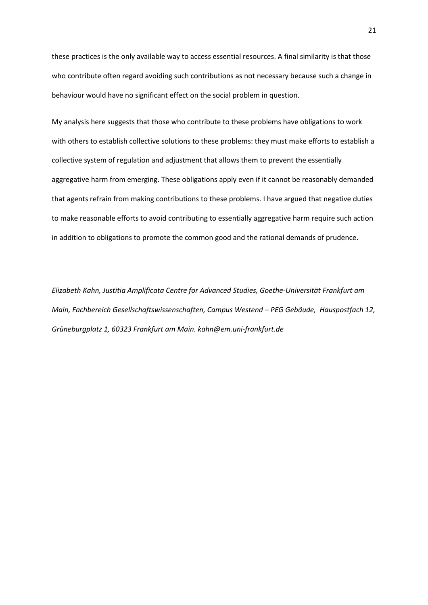these practices is the only available way to access essential resources. A final similarity is that those who contribute often regard avoiding such contributions as not necessary because such a change in behaviour would have no significant effect on the social problem in question.

My analysis here suggests that those who contribute to these problems have obligations to work with others to establish collective solutions to these problems: they must make efforts to establish a collective system of regulation and adjustment that allows them to prevent the essentially aggregative harm from emerging. These obligations apply even if it cannot be reasonably demanded that agents refrain from making contributions to these problems. I have argued that negative duties to make reasonable efforts to avoid contributing to essentially aggregative harm require such action in addition to obligations to promote the common good and the rational demands of prudence.

*Elizabeth Kahn, Justitia Amplificata Centre for Advanced Studies, Goethe-Universität Frankfurt am Main, Fachbereich Gesellschaftswissenschaften, Campus Westend – PEG Gebäude, Hauspostfach 12, Grüneburgplatz 1, 60323 Frankfurt am Main. kahn@em.uni-frankfurt.de*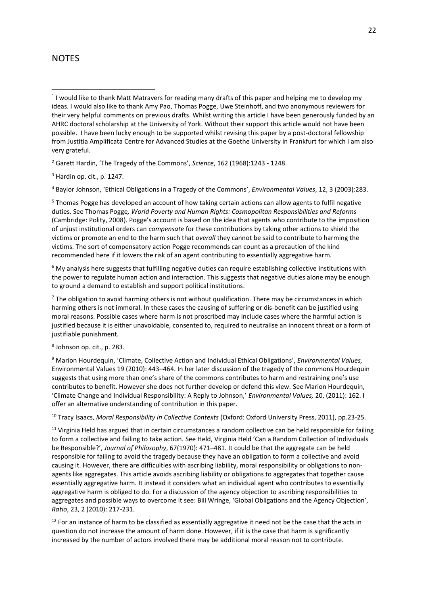# NOTES

1

<sup>2</sup> Garett Hardin, 'The Tragedy of the Commons', *Science*, 162 (1968):1243 - 1248.

<sup>3</sup> Hardin op. cit., p. 1247.

<sup>4</sup> Baylor Johnson, 'Ethical Obligations in a Tragedy of the Commons', *Environmental Values*, 12, 3 (2003):283.

<sup>5</sup> Thomas Pogge has developed an account of how taking certain actions can allow agents to fulfil negative duties. See Thomas Pogge*, World Poverty and Human Rights: Cosmopolitan Responsibilities and Reforms*  (Cambridge: Polity, 2008). Pogge's account is based on the idea that agents who contribute to the imposition of unjust institutional orders can *compensate* for these contributions by taking other actions to shield the victims or promote an end to the harm such that *overall* they cannot be said to contribute to harming the victims. The sort of compensatory action Pogge recommends can count as a precaution of the kind recommended here if it lowers the risk of an agent contributing to essentially aggregative harm.

<sup>6</sup> My analysis here suggests that fulfilling negative duties can require establishing collective institutions with the power to regulate human action and interaction. This suggests that negative duties alone may be enough to ground a demand to establish and support political institutions.

 $<sup>7</sup>$  The obligation to avoid harming others is not without qualification. There may be circumstances in which</sup> harming others is not immoral. In these cases the causing of suffering or dis-benefit can be justified using moral reasons. Possible cases where harm is not proscribed may include cases where the harmful action is justified because it is either unavoidable, consented to, required to neutralise an innocent threat or a form of justifiable punishment.

#### 8 Johnson op. cit., p. 283.

<sup>9</sup> Marion Hourdequin, 'Climate, Collective Action and Individual Ethical Obligations', *Environmental Values,*  Environmental Values 19 (2010): 443–464. In her later discussion of the tragedy of the commons Hourdequin suggests that using more than one's share of the commons contributes to harm and restraining one's use contributes to benefit. However she does not further develop or defend this view. See Marion Hourdequin, 'Climate Change and Individual Responsibility: A Reply to Johnson,' *Environmental Values,* 20, (2011): 162. I offer an alternative understanding of contribution in this paper.

<sup>10</sup> Tracy Isaacs, *Moral Responsibility in Collective Contexts* (Oxford: Oxford University Press, 2011), pp.23-25.

<sup>11</sup> Virginia Held has argued that in certain circumstances a random collective can be held responsible for failing to form a collective and failing to take action. See Held, Virginia Held 'Can a Random Collection of Individuals be Responsible?', *Journal of Philosophy*, 67(1970): 471–481. It could be that the aggregate can be held responsible for failing to avoid the tragedy because they have an obligation to form a collective and avoid causing it. However, there are difficulties with ascribing liability, moral responsibility or obligations to nonagents like aggregates. This article avoids ascribing liability or obligations to aggregates that together cause essentially aggregative harm. It instead it considers what an individual agent who contributes to essentially aggregative harm is obliged to do. For a discussion of the agency objection to ascribing responsibilities to aggregates and possible ways to overcome it see: Bill Wringe, 'Global Obligations and the Agency Objection', *Ratio*, 23, 2 (2010): 217-231.

<sup>12</sup> For an instance of harm to be classified as essentially aggregative it need not be the case that the acts in question do not increase the amount of harm done. However, if it is the case that harm is significantly increased by the number of actors involved there may be additional moral reason not to contribute.

<sup>&</sup>lt;sup>1</sup> I would like to thank Matt Matravers for reading many drafts of this paper and helping me to develop my ideas. I would also like to thank Amy Pao, Thomas Pogge, Uwe Steinhoff, and two anonymous reviewers for their very helpful comments on previous drafts. Whilst writing this article I have been generously funded by an AHRC doctoral scholarship at the University of York. Without their support this article would not have been possible. I have been lucky enough to be supported whilst revising this paper by a post-doctoral fellowship from Justitia Amplificata Centre for Advanced Studies at the Goethe University in Frankfurt for which I am also very grateful.